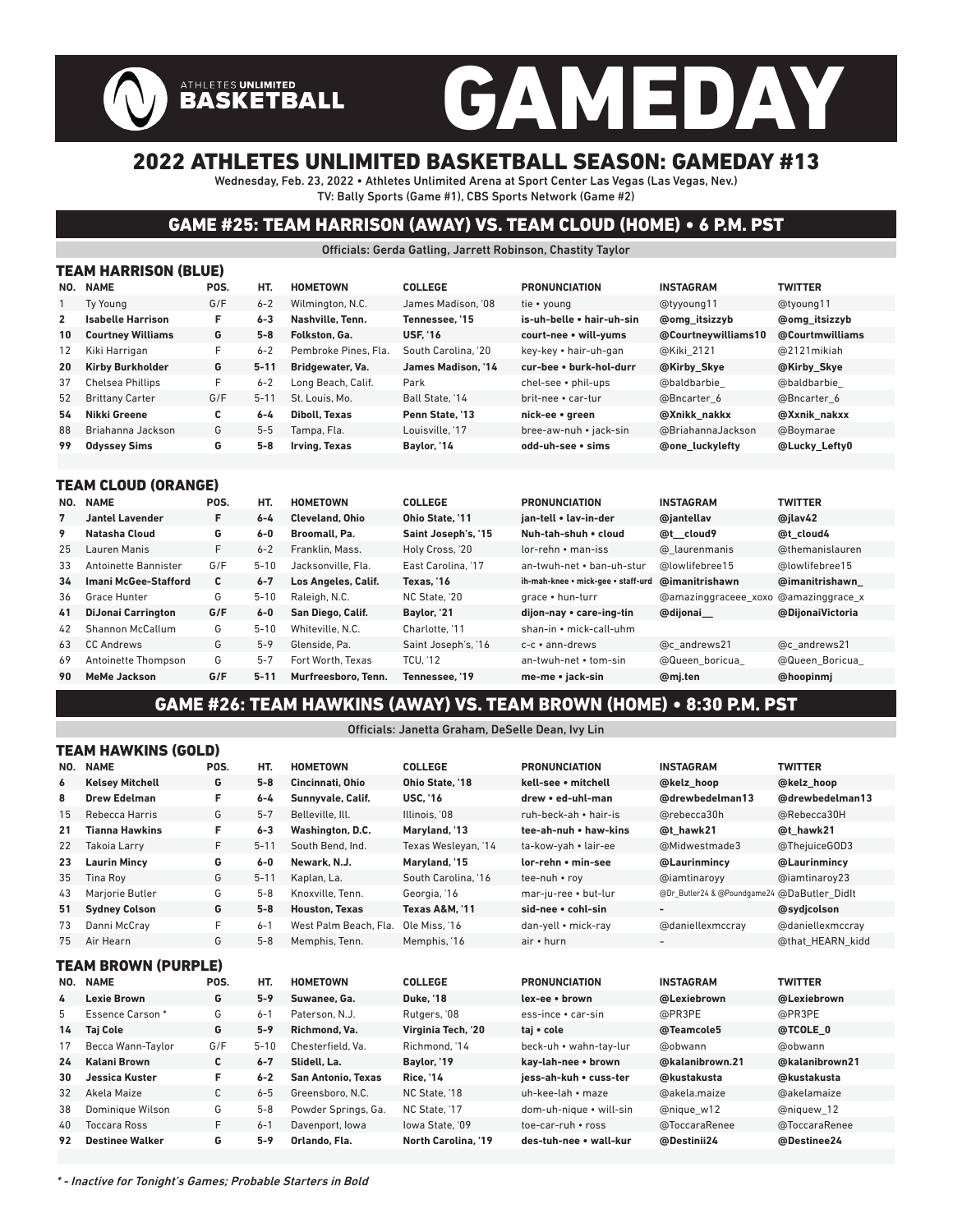# GAMEDAY

## 2022 ATHLETES UNLIMITED BASKETBALL SEASON: GAMEDAY #13

Wednesday, Feb. 23, 2022 • Athletes Unlimited Arena at Sport Center Las Vegas (Las Vegas, Nev.) TV: Bally Sports (Game #1), CBS Sports Network (Game #2)

## GAME #25: TEAM HARRISON (AWAY) VS. TEAM CLOUD (HOME) • 6 P.M. PST

Officials: Gerda Gatling, Jarrett Robinson, Chastity Taylor

| TEAM HARRISON (BLUE) |                          |      |          |                      |                     |                           |                        |                      |  |  |  |  |  |
|----------------------|--------------------------|------|----------|----------------------|---------------------|---------------------------|------------------------|----------------------|--|--|--|--|--|
| NO.                  | <b>NAME</b>              | POS. | HT.      | <b>HOMETOWN</b>      | <b>COLLEGE</b>      | <b>PRONUNCIATION</b>      | <b>INSTAGRAM</b>       | <b>TWITTER</b>       |  |  |  |  |  |
|                      | Tv Young                 | G/F  | $6 - 2$  | Wilmington, N.C.     | James Madison, '08  | tie • young               | @tyyoung11             | @tyoung11            |  |  |  |  |  |
| $\mathbf{2}$         | <b>Isabelle Harrison</b> | F.   | $6 - 3$  | Nashville, Tenn.     | Tennessee. '15      | is-uh-belle • hair-uh-sin | <b>@omg</b> itsizzyb   | <b>@omg</b> itsizzyb |  |  |  |  |  |
| 10                   | <b>Courtney Williams</b> | G    | $5 - 8$  | Folkston, Ga.        | <b>USF. 16</b>      | court-nee • will-vums     | @Courtneywilliams10    | @Courtmwilliams      |  |  |  |  |  |
| 12                   | Kiki Harrigan            | F    | $6 - 2$  | Pembroke Pines, Fla. | South Carolina. '20 | kev-kev • hair-uh-gan     | @Kiki 2121             | @2121 mikiah         |  |  |  |  |  |
| 20                   | <b>Kirby Burkholder</b>  | G    | $5 - 11$ | Bridgewater, Va.     | James Madison. '14  | cur-bee • burk-hol-durr   | @Kirby Skye            | @Kirby Skye          |  |  |  |  |  |
| 37                   | <b>Chelsea Phillips</b>  | F.   | $6 - 2$  | Long Beach, Calif.   | Park                | chel-see • phil-ups       | @baldbarbie            | @baldbarbie          |  |  |  |  |  |
| 52                   | <b>Brittany Carter</b>   | G/F  | $5 - 11$ | St. Louis, Mo.       | Ball State, '14     | brit-nee • car-tur        | @Bncarter 6            | @Bncarter 6          |  |  |  |  |  |
| 54                   | Nikki Greene             | С    | $6 - 4$  | <b>Diboll, Texas</b> | Penn State, '13     | nick-ee • green           | @Xnikk nakkx           | @Xxnik nakxx         |  |  |  |  |  |
| 88                   | Briahanna Jackson        | G    | $5 - 5$  | Tampa, Fla.          | Louisville. '17     | bree-aw-nuh • jack-sin    | @BriahannaJackson      | @Boymarae            |  |  |  |  |  |
| 99                   | <b>Odyssey Sims</b>      | G    | $5 - 8$  | Irving, Texas        | Baylor, '14         | odd-uh-see • sims         | <b>@one luckylefty</b> | @Lucky_Lefty0        |  |  |  |  |  |
|                      |                          |      |          |                      |                     |                           |                        |                      |  |  |  |  |  |

#### TEAM CLOUD (ORANGE)

ATHLETES UNLIMITED<br>BASKETBALL

| NO. | <b>NAME</b>                 | POS. | HT.      | <b>HOMETOWN</b>        | <b>COLLEGE</b>      | <b>PRONUNCIATION</b>               | <b>INSTAGRAM</b>                     | <b>TWITTER</b>   |
|-----|-----------------------------|------|----------|------------------------|---------------------|------------------------------------|--------------------------------------|------------------|
| 7   | <b>Jantel Lavender</b>      | F    | $6 - 4$  | <b>Cleveland, Ohio</b> | Ohio State, '11     | ian-tell • lav-in-der              | @iantellav                           | @ilav42          |
| 9   | Natasha Cloud               | G    | $6-0$    | Broomall, Pa.          | Saint Joseph's, '15 | Nuh-tah-shuh • cloud               | @t cloud9                            | @t cloud4        |
| 25  | Lauren Manis                | F.   | $6 - 2$  | Franklin, Mass.        | Holy Cross, '20     | $lor$ -rehn $\cdot$ man-iss        | @ laurenmanis                        | @themanislauren  |
| 33  | Antoinette Bannister        | G/F  | $5 - 10$ | Jacksonville, Fla.     | East Carolina. '17  | an-twuh-net • ban-uh-stur          | @lowlifebree15                       | @lowlifebree15   |
| 34  | <b>Imani McGee-Stafford</b> | C    | $6 - 7$  | Los Angeles, Calif.    | Texas. '16          | ih-mah-knee • mick-gee • staff-urd | @imanitrishawn                       | @imanitrishawn   |
| 36  | Grace Hunter                | G    | $5 - 10$ | Raleigh, N.C.          | NC State. '20       | grace • hun-turr                   | @amazinggraceee xoxo @amazinggrace x |                  |
| 41  | <b>DiJonai Carrington</b>   | G/F  | $6-0$    | San Diego, Calif.      | Baylor, '21         | dijon-nay • care-ing-tin           | @dijonai                             | @DiionaiVictoria |
| 42  | Shannon McCallum            | G    | $5 - 10$ | Whiteville, N.C.       | Charlotte. '11      | shan-in • mick-call-uhm            |                                      |                  |
| 63  | <b>CC Andrews</b>           | G    | $5 - 9$  | Glenside, Pa.          | Saint Joseph's, '16 | $c-c ullet$ ann-drews              | @c andrews21                         | @c andrews21     |
| 69  | Antoinette Thompson         | G    | $5 - 7$  | Fort Worth, Texas      | <b>TCU. '12</b>     | an-twuh-net • tom-sin              | @Queen boricua                       | @Queen Boricua   |
| 90  | MeMe Jackson                | G/F  | $5 - 11$ | Murfreesboro, Tenn.    | Tennessee. '19      | me-me • jack-sin                   | @mj.ten                              | @hoopinmj        |

### GAME #26: TEAM HAWKINS (AWAY) VS. TEAM BROWN (HOME) • 8:30 P.M. PST

#### Officials: Janetta Graham, DeSelle Dean, Ivy Lin

|                     | TEAM HAWKINS (GOLD)    |      |          |                           |                            |                         |                                             |                  |  |  |  |  |
|---------------------|------------------------|------|----------|---------------------------|----------------------------|-------------------------|---------------------------------------------|------------------|--|--|--|--|
| NO.                 | <b>NAME</b>            | POS. | HT.      | <b>HOMETOWN</b>           | <b>COLLEGE</b>             | <b>PRONUNCIATION</b>    | <b>INSTAGRAM</b>                            | <b>TWITTER</b>   |  |  |  |  |
| 6                   | <b>Kelsey Mitchell</b> | G    | $5 - 8$  | Cincinnati, Ohio          | Ohio State, '18            | kell-see • mitchell     | @kelz hoop                                  | @kelz hoop       |  |  |  |  |
| 8                   | <b>Drew Edelman</b>    | F    | $6 - 4$  | Sunnyvale, Calif.         | <b>USC. '16</b>            | drew . ed-uhl-man       | @drewbedelman13                             | @drewbedelman13  |  |  |  |  |
| 15                  | Rebecca Harris         | G    | $5 - 7$  | Belleville, Ill.          | Illinois. '08              | ruh-beck-ah • hair-is   | @rebecca30h                                 | @Rebecca30H      |  |  |  |  |
| 21                  | <b>Tianna Hawkins</b>  | F    | $6 - 3$  | Washington, D.C.          | Maryland, '13              | tee-ah-nuh • haw-kins   | @t hawk21                                   | @t hawk21        |  |  |  |  |
| 22                  | Takoia Larry           | F    | $5 - 11$ | South Bend. Ind.          | Texas Wesleyan, '14        | ta-kow-yah • lair-ee    | @Midwestmade3                               | @ThejuiceGOD3    |  |  |  |  |
| 23                  | <b>Laurin Mincy</b>    | G    | $6-0$    | Newark, N.J.              | Marvland. '15              | lor-rehn • min-see      | @Laurinmincv                                | @Laurinmincy     |  |  |  |  |
| 35                  | Tina Rov               | G    | $5 - 11$ | Kaplan, La.               | South Carolina. '16        | tee-nuh • roy           | @iamtinaroyy                                | @iamtinaroy23    |  |  |  |  |
| 43                  | Marjorie Butler        | G    | $5 - 8$  | Knoxville, Tenn.          | Georgia, '16               | mar-ju-ree • but-lur    | @Dr_Butler24 & @Poundgame24 @DaButler Didlt |                  |  |  |  |  |
| 51                  | <b>Sydney Colson</b>   | G    | $5-8$    | <b>Houston, Texas</b>     | <b>Texas A&amp;M. '11</b>  | sid-nee • cohl-sin      |                                             | @sydjcolson      |  |  |  |  |
| 73                  | Danni McCray           | F    | $6 - 1$  | West Palm Beach, Fla.     | Ole Miss. '16              | dan-yell • mick-ray     | @daniellexmccray                            | @daniellexmccray |  |  |  |  |
| 75                  | Air Hearn              | G    | $5 - 8$  | Memphis, Tenn.            | Memphis, '16               | air • hurn              | $\overline{\phantom{0}}$                    | @that HEARN kidd |  |  |  |  |
| TEAM BROWN (PURPLE) |                        |      |          |                           |                            |                         |                                             |                  |  |  |  |  |
| NO.                 | <b>NAME</b>            | POS. | HT.      | <b>HOMETOWN</b>           | <b>COLLEGE</b>             | <b>PRONUNCIATION</b>    | <b>INSTAGRAM</b>                            | <b>TWITTER</b>   |  |  |  |  |
| 4                   | <b>Lexie Brown</b>     | G    | $5 - 9$  | Suwanee, Ga.              | <b>Duke, '18</b>           | lex-ee • brown          | @Lexiebrown                                 | @Lexiebrown      |  |  |  |  |
| 5                   | <b>Essence Carson*</b> | G    | $6 - 1$  | Paterson, N.J.            | Rutgers, '08               | ess-ince • car-sin      | @PR3PE                                      | @PR3PE           |  |  |  |  |
| 14                  | <b>Taj Cole</b>        | G    | $5 - 9$  | Richmond, Va.             | Virginia Tech, '20         | taj · cole              | @Teamcole5                                  | @TCOLE 0         |  |  |  |  |
| 17                  | Becca Wann-Taylor      | G/F  | $5 - 10$ | Chesterfield, Va.         | Richmond, '14              | beck-uh • wahn-tay-lur  | @obwann                                     | @obwann          |  |  |  |  |
| 24                  | <b>Kalani Brown</b>    | C    | $6 - 7$  | Slidell. La.              | Baylor. '19                | kav-lah-nee • brown     | @kalanibrown.21                             | @kalanibrown21   |  |  |  |  |
| 30                  | <b>Jessica Kuster</b>  | F    | $6 - 2$  | <b>San Antonio, Texas</b> | <b>Rice. '14</b>           | iess-ah-kuh • cuss-ter  | @kustakusta                                 | @kustakusta      |  |  |  |  |
| 32                  | Akela Maize            | C    | $6 - 5$  | Greensboro, N.C.          | NC State, '18              | uh-kee-lah • maze       | @akela.maize                                | @akelamaize      |  |  |  |  |
| 38                  | Dominique Wilson       | G    | $5 - 8$  | Powder Springs, Ga.       | NC State, '17              | dom-uh-nique · will-sin | @nique w12                                  | @niquew_12       |  |  |  |  |
| 40                  | <b>Toccara Ross</b>    | F    | $6 - 1$  | Davenport, Iowa           | lowa State, '09            | toe-car-ruh • ross      | @ToccaraRenee                               | @ToccaraRenee    |  |  |  |  |
| 92                  | <b>Destinee Walker</b> | G    | $5 - 9$  | Orlando, Fla.             | <b>North Carolina, '19</b> | des-tuh-nee • wall-kur  | @Destinii24                                 | @Destinee24      |  |  |  |  |
|                     |                        |      |          |                           |                            |                         |                                             |                  |  |  |  |  |